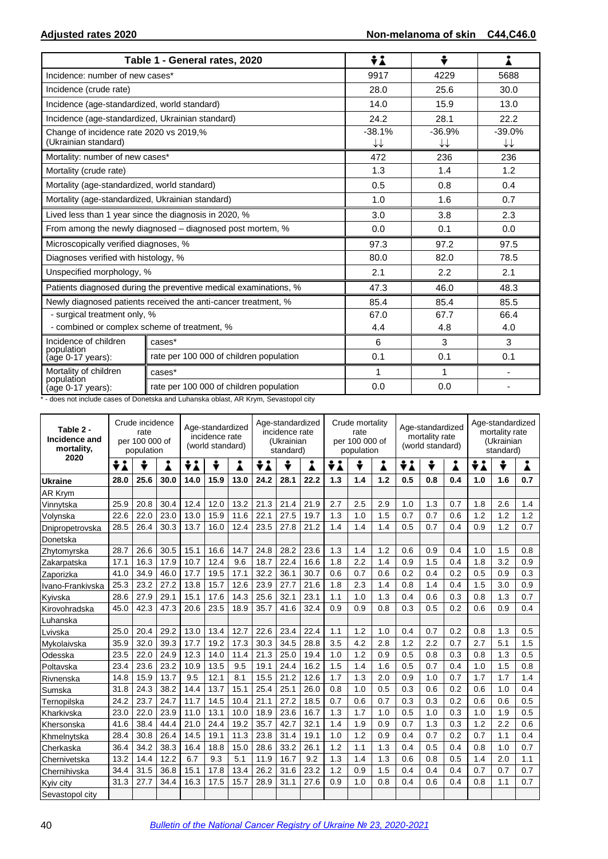|                                                                      | Table 1 - General rates, 2020                                                     | ÷i                                 | ÷              |                                    |
|----------------------------------------------------------------------|-----------------------------------------------------------------------------------|------------------------------------|----------------|------------------------------------|
| Incidence: number of new cases*                                      |                                                                                   | 9917                               | 4229           | 5688                               |
| Incidence (crude rate)                                               |                                                                                   | 28.0                               | 25.6           | 30.0                               |
| Incidence (age-standardized, world standard)                         |                                                                                   | 14.0                               | 15.9           | 13.0                               |
| Incidence (age-standardized, Ukrainian standard)                     |                                                                                   | 24.2                               | 28.1           | 22.2                               |
| Change of incidence rate 2020 vs 2019,%<br>(Ukrainian standard)      |                                                                                   | $-38.1%$<br>$\downarrow\downarrow$ | $-36.9%$<br>↓↓ | $-39.0%$<br>$\downarrow\downarrow$ |
| Mortality: number of new cases*                                      |                                                                                   | 472                                | 236            | 236                                |
| Mortality (crude rate)                                               |                                                                                   | 1.3                                | 1.4            | 1.2                                |
| Mortality (age-standardized, world standard)                         |                                                                                   | 0.5                                | 0.8            | 0.4                                |
| Mortality (age-standardized, Ukrainian standard)                     |                                                                                   | 1.0                                | 1.6            | 0.7                                |
|                                                                      | Lived less than 1 year since the diagnosis in 2020, %                             | 3.0                                | 3.8            | 2.3                                |
|                                                                      | From among the newly diagnosed – diagnosed post mortem, %                         | 0.0                                | 0.1            | 0.0                                |
| Microscopically verified diagnoses, %                                |                                                                                   | 97.3                               | 97.2           | 97.5                               |
| Diagnoses verified with histology, %                                 |                                                                                   | 80.0                               | 82.0           | 78.5                               |
| Unspecified morphology, %                                            |                                                                                   | 2.1                                | 2.2            | 2.1                                |
|                                                                      | Patients diagnosed during the preventive medical examinations, %                  | 47.3                               | 46.0           | 48.3                               |
|                                                                      | Newly diagnosed patients received the anti-cancer treatment, %                    | 85.4                               | 85.4           | 85.5                               |
| - surgical treatment only, %                                         |                                                                                   | 67.0                               | 67.7           | 66.4                               |
| - combined or complex scheme of treatment, %                         |                                                                                   | 4.4                                | 4.8            | 4.0                                |
| Incidence of children<br>population                                  | cases*                                                                            | 6                                  | 3              | 3                                  |
| (age 0-17 years):                                                    | rate per 100 000 of children population                                           | 0.1                                | 0.1            | 0.1                                |
| Mortality of children<br>population                                  | cases*                                                                            | 1                                  | 1              |                                    |
| (age 0-17 years):<br>$\overline{10}$<br>to the state for a bound and | rate per 100 000 of children population<br>the cost below the state AD Kenne Orie | 0.0                                | 0.0            |                                    |

\* - does not include cases of Donetska and Luhanska oblast, AR Krym, Sevastopol city

| Table 2 -<br>Incidence and<br>mortality, | Crude incidence<br>Age-standardized<br>rate<br>incidence rate<br>per 100 000 of<br>(world standard)<br>population |      |      |      |      | Age-standardized<br>incidence rate<br>(Ukrainian<br>standard) |      |      | Crude mortality<br>rate<br>per 100 000 of<br>population |     |     | Age-standardized<br>mortality rate<br>(world standard) |     |     | Age-standardized<br>mortality rate<br>(Ukrainian<br>standard) |     |     |     |
|------------------------------------------|-------------------------------------------------------------------------------------------------------------------|------|------|------|------|---------------------------------------------------------------|------|------|---------------------------------------------------------|-----|-----|--------------------------------------------------------|-----|-----|---------------------------------------------------------------|-----|-----|-----|
| 2020                                     | ÷i                                                                                                                | ÷    | i    | ÷i   | ÷    | i                                                             | ÷i   | ÷    | i                                                       | ÷i  |     | Å                                                      | ÷i  | ÷   | i                                                             | ÷i  | ÷   | Å   |
| <b>Ukraine</b>                           | 28.0                                                                                                              | 25.6 | 30.0 | 14.0 | 15.9 | 13.0                                                          | 24.2 | 28.1 | 22.2                                                    | 1.3 | 1.4 | 1.2                                                    | 0.5 | 0.8 | 0.4                                                           | 1.0 | 1.6 | 0.7 |
| AR Krym                                  |                                                                                                                   |      |      |      |      |                                                               |      |      |                                                         |     |     |                                                        |     |     |                                                               |     |     |     |
| Vinnytska                                | 25.9                                                                                                              | 20.8 | 30.4 | 12.4 | 12.0 | 13.2                                                          | 21.3 | 21.4 | 21.9                                                    | 2.7 | 2.5 | 2.9                                                    | 1.0 | 1.3 | 0.7                                                           | 1.8 | 2.6 | 1.4 |
| Volynska                                 | 22.6                                                                                                              | 22.0 | 23.0 | 13.0 | 15.9 | 11.6                                                          | 22.1 | 27.5 | 19.7                                                    | 1.3 | 1.0 | 1.5                                                    | 0.7 | 0.7 | 0.6                                                           | 1.2 | 1.2 | 1.2 |
| Dnipropetrovska                          | 28.5                                                                                                              | 26.4 | 30.3 | 13.7 | 16.0 | 12.4                                                          | 23.5 | 27.8 | 21.2                                                    | 1.4 | 1.4 | 1.4                                                    | 0.5 | 0.7 | 0.4                                                           | 0.9 | 1.2 | 0.7 |
| Donetska                                 |                                                                                                                   |      |      |      |      |                                                               |      |      |                                                         |     |     |                                                        |     |     |                                                               |     |     |     |
| Zhytomyrska                              | 28.7                                                                                                              | 26.6 | 30.5 | 15.1 | 16.6 | 14.7                                                          | 24.8 | 28.2 | 23.6                                                    | 1.3 | 1.4 | 1.2                                                    | 0.6 | 0.9 | 0.4                                                           | 1.0 | 1.5 | 0.8 |
| Zakarpatska                              | 17.1                                                                                                              | 16.3 | 17.9 | 10.7 | 12.4 | 9.6                                                           | 18.7 | 22.4 | 16.6                                                    | 1.8 | 2.2 | 1.4                                                    | 0.9 | 1.5 | 0.4                                                           | 1.8 | 3.2 | 0.9 |
| Zaporizka                                | 41.0                                                                                                              | 34.9 | 46.0 | 17.7 | 19.5 | 17.1                                                          | 32.2 | 36.1 | 30.7                                                    | 0.6 | 0.7 | 0.6                                                    | 0.2 | 0.4 | 0.2                                                           | 0.5 | 0.9 | 0.3 |
| Ivano-Frankivska                         | 25.3                                                                                                              | 23.2 | 27.2 | 13.8 | 15.7 | 12.6                                                          | 23.9 | 27.7 | 21.6                                                    | 1.8 | 2.3 | 1.4                                                    | 0.8 | 1.4 | 0.4                                                           | 1.5 | 3.0 | 0.9 |
| Kyivska                                  | 28.6                                                                                                              | 27.9 | 29.1 | 15.1 | 17.6 | 14.3                                                          | 25.6 | 32.1 | 23.1                                                    | 1.1 | 1.0 | 1.3                                                    | 0.4 | 0.6 | 0.3                                                           | 0.8 | 1.3 | 0.7 |
| Kirovohradska                            | 45.0                                                                                                              | 42.3 | 47.3 | 20.6 | 23.5 | 18.9                                                          | 35.7 | 41.6 | 32.4                                                    | 0.9 | 0.9 | 0.8                                                    | 0.3 | 0.5 | 0.2                                                           | 0.6 | 0.9 | 0.4 |
| Luhanska                                 |                                                                                                                   |      |      |      |      |                                                               |      |      |                                                         |     |     |                                                        |     |     |                                                               |     |     |     |
| Lvivska                                  | 25.0                                                                                                              | 20.4 | 29.2 | 13.0 | 13.4 | 12.7                                                          | 22.6 | 23.4 | 22.4                                                    | 1.1 | 1.2 | 1.0                                                    | 0.4 | 0.7 | 0.2                                                           | 0.8 | 1.3 | 0.5 |
| Mykolaivska                              | 35.9                                                                                                              | 32.0 | 39.3 | 17.7 | 19.2 | 17.3                                                          | 30.3 | 34.5 | 28.8                                                    | 3.5 | 4.2 | 2.8                                                    | 1.2 | 2.2 | 0.7                                                           | 2.7 | 5.1 | 1.5 |
| Odesska                                  | 23.5                                                                                                              | 22.0 | 24.9 | 12.3 | 14.0 | 11.4                                                          | 21.3 | 25.0 | 19.4                                                    | 1.0 | 1.2 | 0.9                                                    | 0.5 | 0.8 | 0.3                                                           | 0.8 | 1.3 | 0.5 |
| Poltavska                                | 23.4                                                                                                              | 23.6 | 23.2 | 10.9 | 13.5 | 9.5                                                           | 19.1 | 24.4 | 16.2                                                    | 1.5 | 1.4 | 1.6                                                    | 0.5 | 0.7 | 0.4                                                           | 1.0 | 1.5 | 0.8 |
| Rivnenska                                | 14.8                                                                                                              | 15.9 | 13.7 | 9.5  | 12.1 | 8.1                                                           | 15.5 | 21.2 | 12.6                                                    | 1.7 | 1.3 | 2.0                                                    | 0.9 | 1.0 | 0.7                                                           | 1.7 | 1.7 | 1.4 |
| Sumska                                   | 31.8                                                                                                              | 24.3 | 38.2 | 14.4 | 13.7 | 15.1                                                          | 25.4 | 25.1 | 26.0                                                    | 0.8 | 1.0 | 0.5                                                    | 0.3 | 0.6 | 0.2                                                           | 0.6 | 1.0 | 0.4 |
| Ternopilska                              | 24.2                                                                                                              | 23.7 | 24.7 | 11.7 | 14.5 | 10.4                                                          | 21.1 | 27.2 | 18.5                                                    | 0.7 | 0.6 | 0.7                                                    | 0.3 | 0.3 | 0.2                                                           | 0.6 | 0.6 | 0.5 |
| Kharkivska                               | 23.0                                                                                                              | 22.0 | 23.9 | 11.0 | 13.1 | 10.0                                                          | 18.9 | 23.6 | 16.7                                                    | 1.3 | 1.7 | 1.0                                                    | 0.5 | 1.0 | 0.3                                                           | 1.0 | 1.9 | 0.5 |
| Khersonska                               | 41.6                                                                                                              | 38.4 | 44.4 | 21.0 | 24.4 | 19.2                                                          | 35.7 | 42.7 | 32.1                                                    | 1.4 | 1.9 | 0.9                                                    | 0.7 | 1.3 | 0.3                                                           | 1.2 | 2.2 | 0.6 |
| Khmelnytska                              | 28.4                                                                                                              | 30.8 | 26.4 | 14.5 | 19.1 | 11.3                                                          | 23.8 | 31.4 | 19.1                                                    | 1.0 | 1.2 | 0.9                                                    | 0.4 | 0.7 | 0.2                                                           | 0.7 | 1.1 | 0.4 |
| Cherkaska                                | 36.4                                                                                                              | 34.2 | 38.3 | 16.4 | 18.8 | 15.0                                                          | 28.6 | 33.2 | 26.1                                                    | 1.2 | 1.1 | 1.3                                                    | 0.4 | 0.5 | 0.4                                                           | 0.8 | 1.0 | 0.7 |
| Chernivetska                             | 13.2                                                                                                              | 14.4 | 12.2 | 6.7  | 9.3  | 5.1                                                           | 11.9 | 16.7 | 9.2                                                     | 1.3 | 1.4 | 1.3                                                    | 0.6 | 0.8 | 0.5                                                           | 1.4 | 2.0 | 1.1 |
| Chernihivska                             | 34.4                                                                                                              | 31.5 | 36.8 | 15.1 | 17.8 | 13.4                                                          | 26.2 | 31.6 | 23.2                                                    | 1.2 | 0.9 | 1.5                                                    | 0.4 | 0.4 | 0.4                                                           | 0.7 | 0.7 | 0.7 |
| Kyiv city                                | 31.3                                                                                                              | 27.7 | 34.4 | 16.3 | 17.5 | 15.7                                                          | 28.9 | 31.1 | 27.6                                                    | 0.9 | 1.0 | 0.8                                                    | 0.4 | 0.6 | 0.4                                                           | 0.8 | 1.1 | 0.7 |
| Sevastopol city                          |                                                                                                                   |      |      |      |      |                                                               |      |      |                                                         |     |     |                                                        |     |     |                                                               |     |     |     |